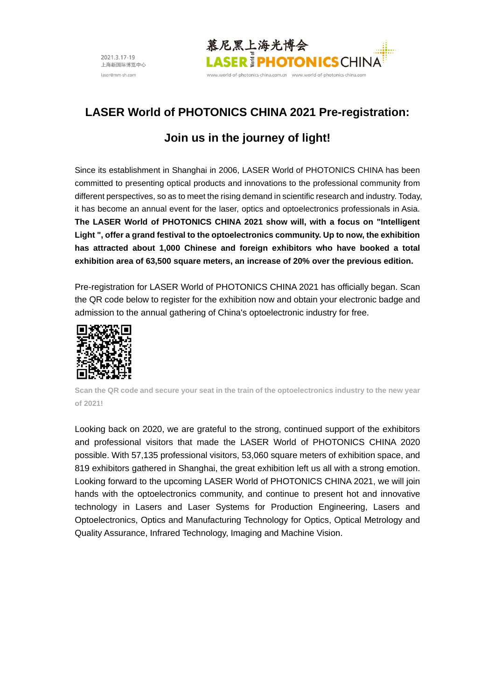

# **LASER World of PHOTONICS CHINA 2021 Pre-registration:**

# **Join us in the journey of light!**

Since its establishment in Shanghai in 2006, LASER World of PHOTONICS CHINA has been committed to presenting optical products and innovations to the professional community from different perspectives, so as to meet the rising demand in scientific research and industry. Today, it has become an annual event for the laser, optics and optoelectronics professionals in Asia. **The LASER World of PHOTONICS CHINA 2021 show will, with a focus on "Intelligent Light ", offer a grand festival to the optoelectronics community. Up to now, the exhibition has attracted about 1,000 Chinese and foreign exhibitors who have booked a total exhibition area of 63,500 square meters, an increase of 20% over the previous edition.**

Pre-registration for LASER World of PHOTONICS CHINA 2021 has officially began. Scan the QR code below to register for the exhibition now and obtain your electronic badge and admission to the annual gathering of China's optoelectronic industry for free.



**Scan the QR code and secure your seat in the train of the optoelectronics industry to the new year of 2021!**

Looking back on 2020, we are grateful to the strong, continued support of the exhibitors and professional visitors that made the LASER World of PHOTONICS CHINA 2020 possible. With 57,135 professional visitors, 53,060 square meters of exhibition space, and 819 exhibitors gathered in Shanghai, the great exhibition left us all with a strong emotion. Looking forward to the upcoming LASER World of PHOTONICS CHINA 2021, we will join hands with the optoelectronics community, and continue to present hot and innovative technology in Lasers and Laser Systems for Production Engineering, Lasers and Optoelectronics, Optics and Manufacturing Technology for Optics, Optical Metrology and Quality Assurance, Infrared Technology, Imaging and Machine Vision.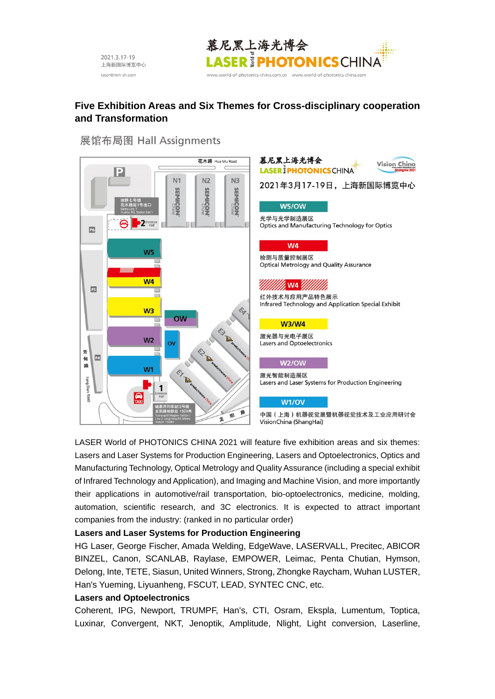



# **Five Exhibition Areas and Six Themes for Cross-disciplinary cooperation and Transformation**

# 展馆布局图 Hall Assignments





VisionChina (ShangHai)

LASER World of PHOTONICS CHINA 2021 will feature five exhibition areas and six themes: Lasers and Laser Systems for Production Engineering, Lasers and Optoelectronics, Optics and Manufacturing Technology, Optical Metrology and Quality Assurance (including a special exhibit of Infrared Technology and Application), and Imaging and Machine Vision, and more importantly their applications in automotive/rail transportation, bio-optoelectronics, medicine, molding, automation, scientific research, and 3C electronics. It is expected to attract important companies from the industry: (ranked in no particular order)

#### **Lasers and Laser Systems for Production Engineering**

HG Laser, George Fischer, Amada Welding, EdgeWave, LASERVALL, Precitec, ABICOR BINZEL, Canon, SCANLAB, Raylase, EMPOWER, Leimac, Penta Chutian, Hymson, Delong, Inte, TETE, Siasun, United Winners, Strong, Zhongke Raycham, Wuhan LUSTER, Han's Yueming, Liyuanheng, FSCUT, LEAD, SYNTEC CNC, etc.

#### **Lasers and Optoelectronics**

Coherent, IPG, Newport, TRUMPF, Han's, CTI, Osram, Ekspla, Lumentum, Toptica, Luxinar, Convergent, NKT, Jenoptik, Amplitude, Nlight, Light conversion, Laserline,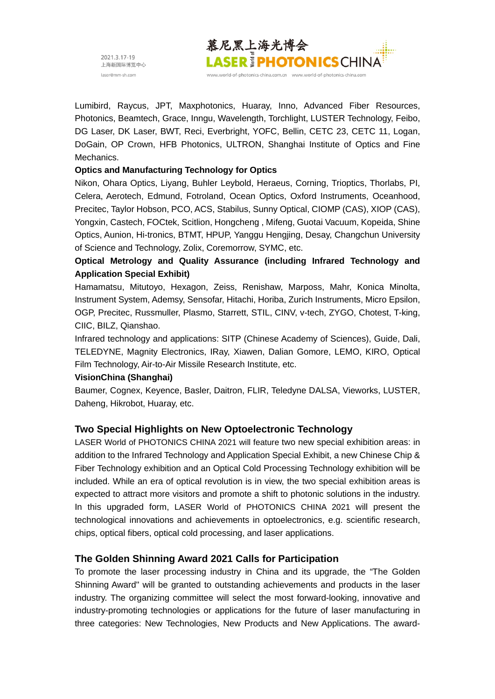

Lumibird, Raycus, JPT, Maxphotonics, Huaray, Inno, Advanced Fiber Resources, Photonics, Beamtech, Grace, Inngu, Wavelength, Torchlight, LUSTER Technology, Feibo, DG Laser, DK Laser, BWT, Reci, Everbright, YOFC, Bellin, CETC 23, CETC 11, Logan, DoGain, OP Crown, HFB Photonics, ULTRON, Shanghai Institute of Optics and Fine Mechanics.

### **Optics and Manufacturing Technology for Optics**

Nikon, Ohara Optics, Liyang, Buhler Leybold, Heraeus, Corning, Trioptics, Thorlabs, PI, Celera, Aerotech, Edmund, Fotroland, Ocean Optics, Oxford Instruments, Oceanhood, Precitec, Taylor Hobson, PCO, ACS, Stabilus, Sunny Optical, CIOMP (CAS), XIOP (CAS), Yongxin, Castech, FOCtek, Scitlion, Hongcheng , Mifeng, Guotai Vacuum, Kopeida, Shine Optics, Aunion, Hi-tronics, BTMT, HPUP, Yanggu Hengjing, Desay, Changchun University of Science and Technology, Zolix, Coremorrow, SYMC, etc.

# **Optical Metrology and Quality Assurance (including Infrared Technology and Application Special Exhibit)**

Hamamatsu, Mitutoyo, Hexagon, Zeiss, Renishaw, Marposs, Mahr, Konica Minolta, Instrument System, Ademsy, Sensofar, Hitachi, Horiba, Zurich Instruments, Micro Epsilon, OGP, Precitec, Russmuller, Plasmo, Starrett, STIL, CINV, v-tech, ZYGO, Chotest, T-king, CIIC, BILZ, Qianshao.

Infrared technology and applications: SITP (Chinese Academy of Sciences), Guide, Dali, TELEDYNE, Magnity Electronics, IRay, Xiawen, Dalian Gomore, LEMO, KIRO, Optical Film Technology, Air-to-Air Missile Research Institute, etc.

#### **VisionChina (Shanghai)**

Baumer, Cognex, Keyence, Basler, Daitron, FLIR, Teledyne DALSA, Vieworks, LUSTER, Daheng, Hikrobot, Huaray, etc.

## **Two Special Highlights on New Optoelectronic Technology**

LASER World of PHOTONICS CHINA 2021 will feature two new special exhibition areas: in addition to the Infrared Technology and Application Special Exhibit, a new Chinese Chip & Fiber Technology exhibition and an Optical Cold Processing Technology exhibition will be included. While an era of optical revolution is in view, the two special exhibition areas is expected to attract more visitors and promote a shift to photonic solutions in the industry. In this upgraded form, LASER World of PHOTONICS CHINA 2021 will present the technological innovations and achievements in optoelectronics, e.g. scientific research, chips, optical fibers, optical cold processing, and laser applications.

## **The Golden Shinning Award 2021 Calls for Participation**

To promote the laser processing industry in China and its upgrade, the "The Golden Shinning Award" will be granted to outstanding achievements and products in the laser industry. The organizing committee will select the most forward-looking, innovative and industry-promoting technologies or applications for the future of laser manufacturing in three categories: New Technologies, New Products and New Applications. The award-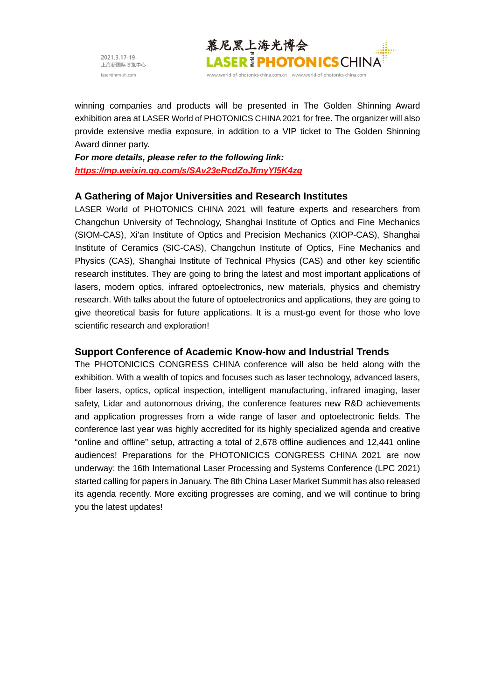

winning companies and products will be presented in The Golden Shinning Award exhibition area at LASER World of PHOTONICS CHINA 2021 for free. The organizer will also provide extensive media exposure, in addition to a VIP ticket to The Golden Shinning Award dinner party.

*For more details, please refer to the following link: https://mp.weixin.qq.com/s/SAv23eRcdZoJfmyYl5K4zg*

## **A Gathering of Major Universities and Research Institutes**

LASER World of PHOTONICS CHINA 2021 will feature experts and researchers from Changchun University of Technology, Shanghai Institute of Optics and Fine Mechanics (SIOM-CAS), Xi'an Institute of Optics and Precision Mechanics (XIOP-CAS), Shanghai Institute of Ceramics (SIC-CAS), Changchun Institute of Optics, Fine Mechanics and Physics (CAS), Shanghai Institute of Technical Physics (CAS) and other key scientific research institutes. They are going to bring the latest and most important applications of lasers, modern optics, infrared optoelectronics, new materials, physics and chemistry research. With talks about the future of optoelectronics and applications, they are going to give theoretical basis for future applications. It is a must-go event for those who love scientific research and exploration!

## **Support Conference of Academic Know-how and Industrial Trends**

The PHOTONICICS CONGRESS CHINA conference will also be held along with the exhibition. With a wealth of topics and focuses such as laser technology, advanced lasers, fiber lasers, optics, optical inspection, intelligent manufacturing, infrared imaging, laser safety, Lidar and autonomous driving, the conference features new R&D achievements and application progresses from a wide range of laser and optoelectronic fields. The conference last year was highly accredited for its highly specialized agenda and creative "online and offline" setup, attracting a total of 2,678 offline audiences and 12,441 online audiences! Preparations for the PHOTONICICS CONGRESS CHINA 2021 are now underway: the 16th International Laser Processing and Systems Conference (LPC 2021) started calling for papers in January. The 8th China Laser Market Summit has also released its agenda recently. More exciting progresses are coming, and we will continue to bring you the latest updates!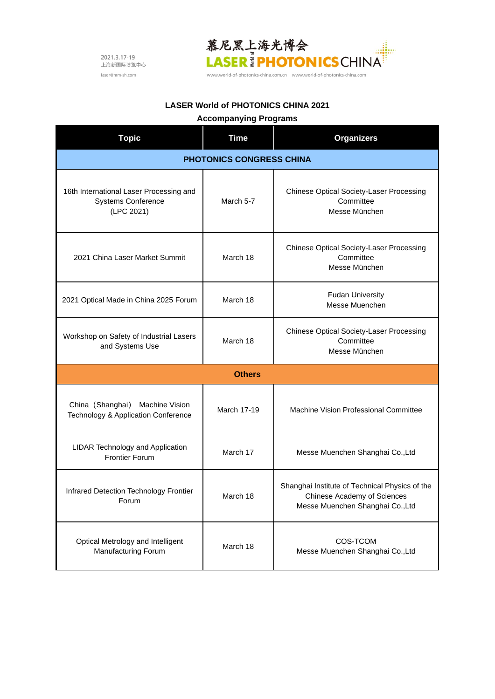

www.world-of-photonics-china.com.cn www.world-of-photonics-china.com

## **LASER World of PHOTONICS CHINA 2021**

# **Accompanying Programs**

| <b>Topic</b>                                                                       | <b>Time</b> | <b>Organizers</b>                                                                                                 |
|------------------------------------------------------------------------------------|-------------|-------------------------------------------------------------------------------------------------------------------|
| <b>PHOTONICS CONGRESS CHINA</b>                                                    |             |                                                                                                                   |
| 16th International Laser Processing and<br><b>Systems Conference</b><br>(LPC 2021) | March 5-7   | Chinese Optical Society-Laser Processing<br>Committee<br>Messe München                                            |
| 2021 China Laser Market Summit                                                     | March 18    | Chinese Optical Society-Laser Processing<br>Committee<br>Messe München                                            |
| 2021 Optical Made in China 2025 Forum                                              | March 18    | <b>Fudan University</b><br>Messe Muenchen                                                                         |
| Workshop on Safety of Industrial Lasers<br>and Systems Use                         | March 18    | Chinese Optical Society-Laser Processing<br>Committee<br>Messe München                                            |
| <b>Others</b>                                                                      |             |                                                                                                                   |
| China (Shanghai)<br>Machine Vision<br>Technology & Application Conference          | March 17-19 | Machine Vision Professional Committee                                                                             |
| LIDAR Technology and Application<br><b>Frontier Forum</b>                          | March 17    | Messe Muenchen Shanghai Co., Ltd                                                                                  |
| Infrared Detection Technology Frontier<br>Forum                                    | March 18    | Shanghai Institute of Technical Physics of the<br>Chinese Academy of Sciences<br>Messe Muenchen Shanghai Co., Ltd |
| Optical Metrology and Intelligent<br>Manufacturing Forum                           | March 18    | COS-TCOM<br>Messe Muenchen Shanghai Co., Ltd                                                                      |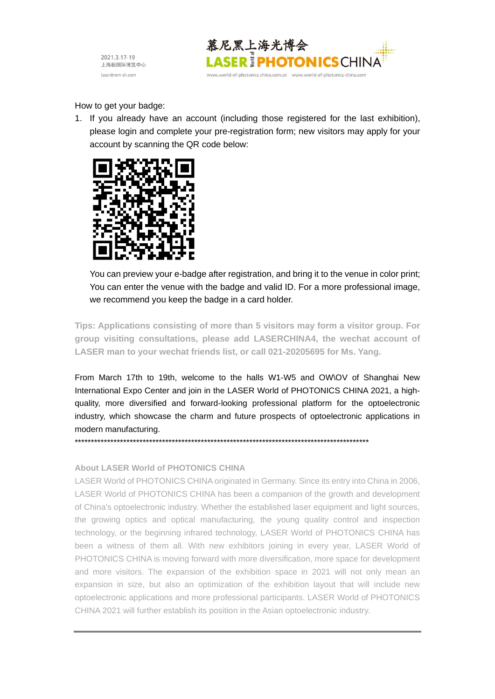



How to get your badge:

1. If you already have an account (including those registered for the last exhibition), please login and complete your pre-registration form; new visitors may apply for your account by scanning the QR code below:



You can preview your e-badge after registration, and bring it to the venue in color print; You can enter the venue with the badge and valid ID. For a more professional image, we recommend you keep the badge in a card holder.

**Tips: Applications consisting of more than 5 visitors may form a visitor group. For group visiting consultations, please add LASERCHINA4, the wechat account of LASER man to your wechat friends list, or call 021-20205695 for Ms. Yang.**

From March 17th to 19th, welcome to the halls W1-W5 and OW\OV of Shanghai New International Expo Center and join in the LASER World of PHOTONICS CHINA 2021, a highquality, more diversified and forward-looking professional platform for the optoelectronic industry, which showcase the charm and future prospects of optoelectronic applications in modern manufacturing.

\*\*\*\*\*\*\*\*\*\*\*\*\*\*\*\*\*\*\*\*\*\*\*\*\*\*\*\*\*\*\*\*\*\*\*\*\*\*\*\*\*\*\*\*\*\*\*\*\*\*\*\*\*\*\*\*\*\*\*\*\*\*\*\*\*\*\*\*\*\*\*\*\*\*\*\*\*\*\*\*\*\*\*\*\*\*\*\*\*\*\*

#### **About LASER World of PHOTONICS CHINA**

LASER World of PHOTONICS CHINA originated in Germany. Since its entry into China in 2006, LASER World of PHOTONICS CHINA has been a companion of the growth and development of China's optoelectronic industry. Whether the established laser equipment and light sources, the growing optics and optical manufacturing, the young quality control and inspection technology, or the beginning infrared technology, LASER World of PHOTONICS CHINA has been a witness of them all. With new exhibitors joining in every year, LASER World of PHOTONICS CHINA is moving forward with more diversification, more space for development and more visitors. The expansion of the exhibition space in 2021 will not only mean an expansion in size, but also an optimization of the exhibition layout that will include new optoelectronic applications and more professional participants. LASER World of PHOTONICS CHINA 2021 will further establish its position in the Asian optoelectronic industry.